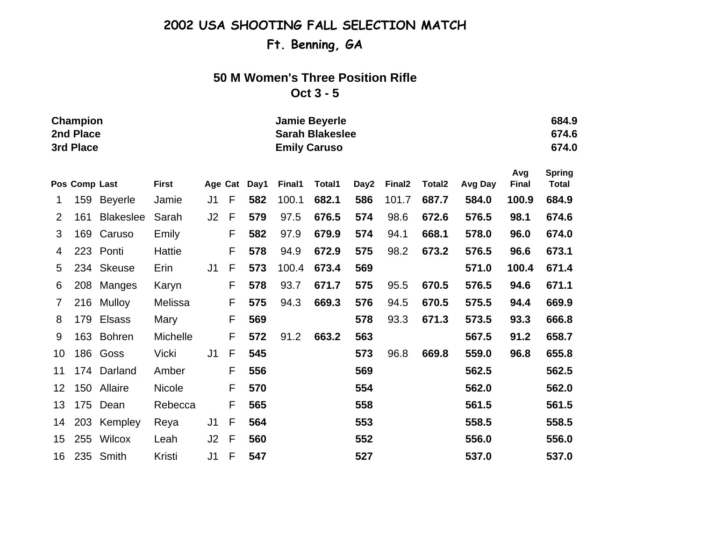# **Ft. Benning, GA**

## **50 M Women's Three Position Rifle**

#### **Oct 3 - 5**

|                | Champion<br>2nd Place<br>3rd Place |                  |               |                |              |      |        | <b>Jamie Beyerle</b><br><b>Sarah Blakeslee</b><br><b>Emily Caruso</b> |      |                    |        |         |                     |                               |  |
|----------------|------------------------------------|------------------|---------------|----------------|--------------|------|--------|-----------------------------------------------------------------------|------|--------------------|--------|---------|---------------------|-------------------------------|--|
|                | Pos Comp Last                      |                  | <b>First</b>  | Age Cat        |              | Day1 | Final1 | Total1                                                                | Day2 | Final <sub>2</sub> | Total2 | Avg Day | Avg<br><b>Final</b> | <b>Spring</b><br><b>Total</b> |  |
| 1              | 159                                | <b>Beyerle</b>   | Jamie         | J1             | F            | 582  | 100.1  | 682.1                                                                 | 586  | 101.7              | 687.7  | 584.0   | 100.9               | 684.9                         |  |
| 2              | 161                                | <b>Blakeslee</b> | Sarah         | J2             | F            | 579  | 97.5   | 676.5                                                                 | 574  | 98.6               | 672.6  | 576.5   | 98.1                | 674.6                         |  |
| 3              | 169                                | Caruso           | Emily         |                | F            | 582  | 97.9   | 679.9                                                                 | 574  | 94.1               | 668.1  | 578.0   | 96.0                | 674.0                         |  |
| 4              |                                    | 223 Ponti        | Hattie        |                | F            | 578  | 94.9   | 672.9                                                                 | 575  | 98.2               | 673.2  | 576.5   | 96.6                | 673.1                         |  |
| 5              | 234                                | <b>Skeuse</b>    | Erin          | J <sub>1</sub> | F            | 573  | 100.4  | 673.4                                                                 | 569  |                    |        | 571.0   | 100.4               | 671.4                         |  |
| 6              | 208                                | Manges           | Karyn         |                | F            | 578  | 93.7   | 671.7                                                                 | 575  | 95.5               | 670.5  | 576.5   | 94.6                | 671.1                         |  |
| $\overline{7}$ | 216                                | <b>Mulloy</b>    | Melissa       |                | F            | 575  | 94.3   | 669.3                                                                 | 576  | 94.5               | 670.5  | 575.5   | 94.4                | 669.9                         |  |
| 8              | 179                                | <b>Elsass</b>    | Mary          |                | F            | 569  |        |                                                                       | 578  | 93.3               | 671.3  | 573.5   | 93.3                | 666.8                         |  |
| 9              | 163                                | <b>Bohren</b>    | Michelle      |                | F            | 572  | 91.2   | 663.2                                                                 | 563  |                    |        | 567.5   | 91.2                | 658.7                         |  |
| 10             | 186                                | Goss             | Vicki         | J <sub>1</sub> | $\mathsf{F}$ | 545  |        |                                                                       | 573  | 96.8               | 669.8  | 559.0   | 96.8                | 655.8                         |  |
| 11             | 174                                | Darland          | Amber         |                | F            | 556  |        |                                                                       | 569  |                    |        | 562.5   |                     | 562.5                         |  |
| 12             | 150                                | Allaire          | <b>Nicole</b> |                | F            | 570  |        |                                                                       | 554  |                    |        | 562.0   |                     | 562.0                         |  |
| 13             | 175                                | Dean             | Rebecca       |                | F            | 565  |        |                                                                       | 558  |                    |        | 561.5   |                     | 561.5                         |  |
| 14             | 203                                | Kempley          | Reya          | J <sub>1</sub> | F            | 564  |        |                                                                       | 553  |                    |        | 558.5   |                     | 558.5                         |  |
| 15             | 255                                | Wilcox           | Leah          | J2             | $\mathsf{F}$ | 560  |        |                                                                       | 552  |                    |        | 556.0   |                     | 556.0                         |  |

16 235 Smith Kristi J1 F **547 527 537.0 537.0**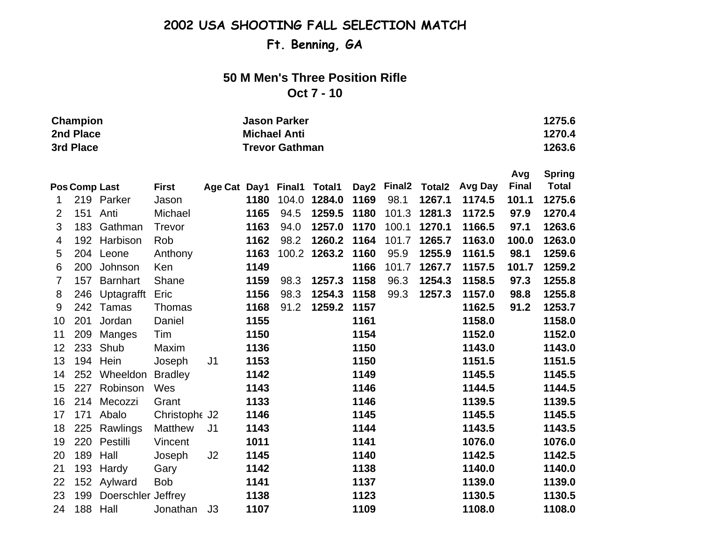**Ft. Benning, GA**

## **50 M Men's Three Position Rifle**

#### **Oct 7 - 10**

| Champion  | <b>Jason Parker</b>   | 1275.6 |
|-----------|-----------------------|--------|
| 2nd Place | <b>Michael Anti</b>   | 1270.4 |
| 3rd Place | <b>Trevor Gathman</b> | 1263.6 |

|    |                      |                    |                |                            |      |       |        |      |        |        |         | Avg          | <b>Spring</b> |
|----|----------------------|--------------------|----------------|----------------------------|------|-------|--------|------|--------|--------|---------|--------------|---------------|
|    | <b>Pos Comp Last</b> |                    | <b>First</b>   | Age Cat Day1 Final1 Total1 |      |       |        | Day2 | Final2 | Total2 | Avg Day | <b>Final</b> | <b>Total</b>  |
| 1  | 219                  | Parker             | Jason          |                            | 1180 | 104.0 | 1284.0 | 1169 | 98.1   | 1267.1 | 1174.5  | 101.1        | 1275.6        |
| 2  | 151 Anti             |                    | Michael        |                            | 1165 | 94.5  | 1259.5 | 1180 | 101.3  | 1281.3 | 1172.5  | 97.9         | 1270.4        |
| 3  | 183                  | Gathman            | Trevor         |                            | 1163 | 94.0  | 1257.0 | 1170 | 100.1  | 1270.1 | 1166.5  | 97.1         | 1263.6        |
| 4  | 192                  | Harbison           | Rob            |                            | 1162 | 98.2  | 1260.2 | 1164 | 101.7  | 1265.7 | 1163.0  | 100.0        | 1263.0        |
| 5  | 204                  | Leone              | Anthony        |                            | 1163 | 100.2 | 1263.2 | 1160 | 95.9   | 1255.9 | 1161.5  | 98.1         | 1259.6        |
| 6  | 200                  | Johnson            | Ken            |                            | 1149 |       |        | 1166 | 101.7  | 1267.7 | 1157.5  | 101.7        | 1259.2        |
| 7  | 157                  | <b>Barnhart</b>    | Shane          |                            | 1159 | 98.3  | 1257.3 | 1158 | 96.3   | 1254.3 | 1158.5  | 97.3         | 1255.8        |
| 8  | 246                  | Uptagrafft         | Eric           |                            | 1156 | 98.3  | 1254.3 | 1158 | 99.3   | 1257.3 | 1157.0  | 98.8         | 1255.8        |
| 9  | 242                  | Tamas              | Thomas         |                            | 1168 | 91.2  | 1259.2 | 1157 |        |        | 1162.5  | 91.2         | 1253.7        |
| 10 | 201                  | Jordan             | Daniel         |                            | 1155 |       |        | 1161 |        |        | 1158.0  |              | 1158.0        |
| 11 | 209                  | Manges             | Tim            |                            | 1150 |       |        | 1154 |        |        | 1152.0  |              | 1152.0        |
| 12 | 233                  | Shub               | Maxim          |                            | 1136 |       |        | 1150 |        |        | 1143.0  |              | 1143.0        |
| 13 | 194                  | Hein               | Joseph         | J <sub>1</sub>             | 1153 |       |        | 1150 |        |        | 1151.5  |              | 1151.5        |
| 14 | 252                  | Wheeldon           | <b>Bradley</b> |                            | 1142 |       |        | 1149 |        |        | 1145.5  |              | 1145.5        |
| 15 | 227                  | Robinson           | Wes            |                            | 1143 |       |        | 1146 |        |        | 1144.5  |              | 1144.5        |
| 16 | 214                  | Mecozzi            | Grant          |                            | 1133 |       |        | 1146 |        |        | 1139.5  |              | 1139.5        |
| 17 | 171                  | Abalo              | Christophe J2  |                            | 1146 |       |        | 1145 |        |        | 1145.5  |              | 1145.5        |
| 18 | 225                  | Rawlings           | <b>Matthew</b> | J <sub>1</sub>             | 1143 |       |        | 1144 |        |        | 1143.5  |              | 1143.5        |
| 19 | 220                  | Pestilli           | Vincent        |                            | 1011 |       |        | 1141 |        |        | 1076.0  |              | 1076.0        |
| 20 | 189                  | Hall               | Joseph         | J <sub>2</sub>             | 1145 |       |        | 1140 |        |        | 1142.5  |              | 1142.5        |
| 21 | 193                  | Hardy              | Gary           |                            | 1142 |       |        | 1138 |        |        | 1140.0  |              | 1140.0        |
| 22 |                      | 152 Aylward        | <b>Bob</b>     |                            | 1141 |       |        | 1137 |        |        | 1139.0  |              | 1139.0        |
| 23 | 199                  | Doerschler Jeffrey |                |                            | 1138 |       |        | 1123 |        |        | 1130.5  |              | 1130.5        |
| 24 | 188 Hall             |                    | Jonathan       | J3                         | 1107 |       |        | 1109 |        |        | 1108.0  |              | 1108.0        |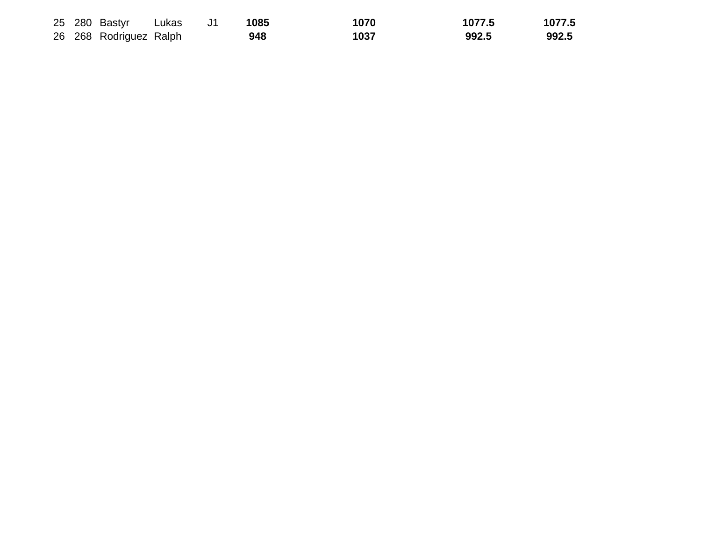|  | 25 280 Bastyr Lukas    |  | 1085 | 1070 | 1077.5 | 1077.5 |
|--|------------------------|--|------|------|--------|--------|
|  | 26 268 Rodriguez Ralph |  | 948  | 1037 | 992.5  | 992.5  |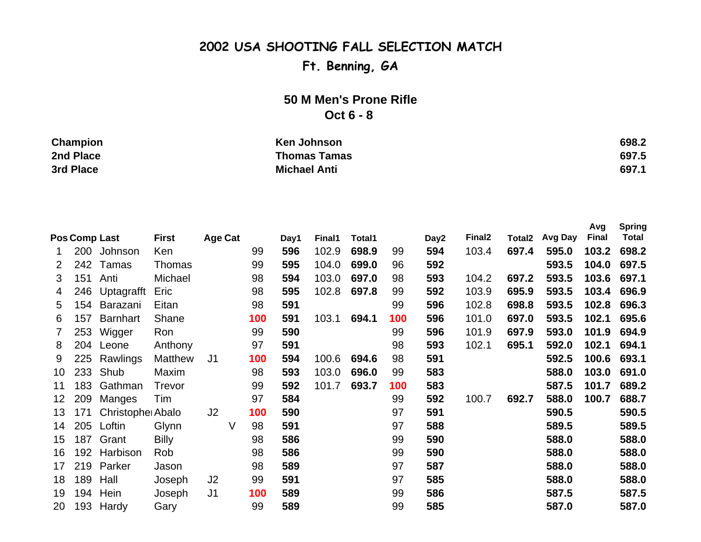# **Ft. Benning, GA**

## **50 M Men's Prone Rifle Oct 6 - 8**

| Champion  | Ken Johnson         | 698.2 |
|-----------|---------------------|-------|
| 2nd Place | <b>Thomas Tamas</b> | 697.5 |
| 3rd Place | <b>Michael Anti</b> | 697.1 |

|                 |     |                  |                |                |   |     |      |        |        |     |      |                    |                    |         | Avg          | <b>Spring</b> |
|-----------------|-----|------------------|----------------|----------------|---|-----|------|--------|--------|-----|------|--------------------|--------------------|---------|--------------|---------------|
|                 |     | Pos Comp Last    | <b>First</b>   | <b>Age Cat</b> |   |     | Day1 | Final1 | Total1 |     | Day2 | Final <sub>2</sub> | Total <sub>2</sub> | Avg Day | <b>Final</b> | <b>Total</b>  |
|                 |     | 200 Johnson      | Ken            |                |   | 99  | 596  | 102.9  | 698.9  | 99  | 594  | 103.4              | 697.4              | 595.0   | 103.2        | 698.2         |
| $\overline{2}$  | 242 | Tamas            | <b>Thomas</b>  |                |   | 99  | 595  | 104.0  | 699.0  | 96  | 592  |                    |                    | 593.5   | 104.0        | 697.5         |
| 3               | 151 | Anti             | Michael        |                |   | 98  | 594  | 103.0  | 697.0  | 98  | 593  | 104.2              | 697.2              | 593.5   | 103.6        | 697.1         |
| 4               | 246 | Uptagrafft       | Eric           |                |   | 98  | 595  | 102.8  | 697.8  | 99  | 592  | 103.9              | 695.9              | 593.5   | 103.4        | 696.9         |
| 5               | 154 | Barazani         | Eitan          |                |   | 98  | 591  |        |        | 99  | 596  | 102.8              | 698.8              | 593.5   | 102.8        | 696.3         |
| 6               | 157 | <b>Barnhart</b>  | Shane          |                |   | 100 | 591  | 103.1  | 694.1  | 100 | 596  | 101.0              | 697.0              | 593.5   | 102.1        | 695.6         |
| $\mathbf{7}$    | 253 | Wigger           | Ron            |                |   | 99  | 590  |        |        | 99  | 596  | 101.9              | 697.9              | 593.0   | 101.9        | 694.9         |
| 8               | 204 | Leone            | Anthony        |                |   | 97  | 591  |        |        | 98  | 593  | 102.1              | 695.1              | 592.0   | 102.1        | 694.1         |
| 9               | 225 | Rawlings         | <b>Matthew</b> | J <sub>1</sub> |   | 100 | 594  | 100.6  | 694.6  | 98  | 591  |                    |                    | 592.5   | 100.6        | 693.1         |
| 10              | 233 | Shub             | Maxim          |                |   | 98  | 593  | 103.0  | 696.0  | 99  | 583  |                    |                    | 588.0   | 103.0        | 691.0         |
| 11              | 183 | Gathman          | Trevor         |                |   | 99  | 592  | 101.7  | 693.7  | 100 | 583  |                    |                    | 587.5   | 101.7        | 689.2         |
| 12 <sub>2</sub> | 209 | Manges           | Tim            |                |   | 97  | 584  |        |        | 99  | 592  | 100.7              | 692.7              | 588.0   | 100.7        | 688.7         |
| 13              | 171 | Christophe Abalo |                | J <sub>2</sub> |   | 100 | 590  |        |        | 97  | 591  |                    |                    | 590.5   |              | 590.5         |
| 14              | 205 | Loftin           | Glynn          |                | V | 98  | 591  |        |        | 97  | 588  |                    |                    | 589.5   |              | 589.5         |
| 15              | 187 | Grant            | <b>Billy</b>   |                |   | 98  | 586  |        |        | 99  | 590  |                    |                    | 588.0   |              | 588.0         |
| 16              | 192 | Harbison         | Rob            |                |   | 98  | 586  |        |        | 99  | 590  |                    |                    | 588.0   |              | 588.0         |
| 17              | 219 | Parker           | Jason          |                |   | 98  | 589  |        |        | 97  | 587  |                    |                    | 588.0   |              | 588.0         |
| 18              | 189 | Hall             | Joseph         | J <sub>2</sub> |   | 99  | 591  |        |        | 97  | 585  |                    |                    | 588.0   |              | 588.0         |
| 19              | 194 | Hein             | Joseph         | J <sub>1</sub> |   | 100 | 589  |        |        | 99  | 586  |                    |                    | 587.5   |              | 587.5         |
| 20              |     | 193 Hardy        | Gary           |                |   | 99  | 589  |        |        | 99  | 585  |                    |                    | 587.0   |              | 587.0         |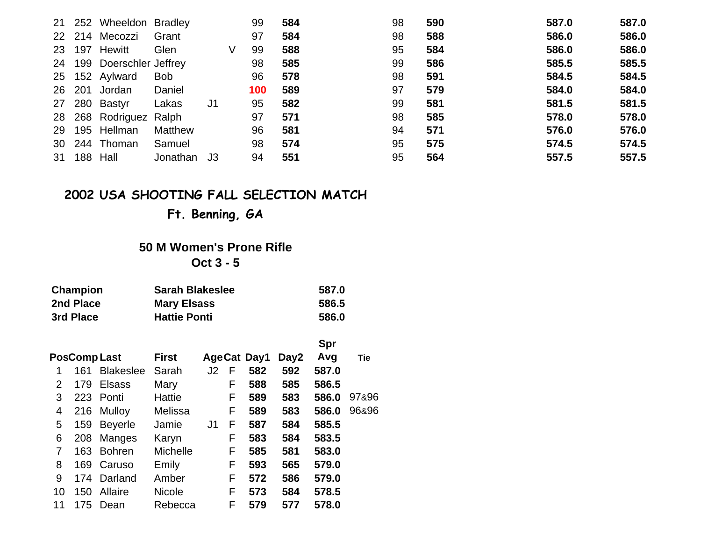|                 |     | 21 252 Wheeldon Bradley   |            |                |   | 99  | 584 | 98 | 590 | 587.0 | 587.0 |
|-----------------|-----|---------------------------|------------|----------------|---|-----|-----|----|-----|-------|-------|
|                 |     | 22 214 Mecozzi            | Grant      |                |   | 97  | 584 | 98 | 588 | 586.0 | 586.0 |
| 23              | 197 | Hewitt                    | Glen       |                | V | 99  | 588 | 95 | 584 | 586.0 | 586.0 |
|                 |     | 24 199 Doerschler Jeffrey |            |                |   | 98  | 585 | 99 | 586 | 585.5 | 585.5 |
|                 |     | 25 152 Aylward            | <b>Bob</b> |                |   | 96  | 578 | 98 | 591 | 584.5 | 584.5 |
| 26              | 201 | Jordan                    | Daniel     |                |   | 100 | 589 | 97 | 579 | 584.0 | 584.0 |
|                 |     | 27 280 Bastyr             | Lakas      | J <sub>1</sub> |   | 95  | 582 | 99 | 581 | 581.5 | 581.5 |
|                 |     | 28 268 Rodriguez Ralph    |            |                |   | 97  | 571 | 98 | 585 | 578.0 | 578.0 |
|                 |     | 29 195 Hellman            | Matthew    |                |   | 96  | 581 | 94 | 571 | 576.0 | 576.0 |
| 30 <sup>°</sup> |     | 244 Thoman                | Samuel     |                |   | 98  | 574 | 95 | 575 | 574.5 | 574.5 |
| 31              | 188 | Hall                      | Jonathan   | J3             |   | 94  | 551 | 95 | 564 | 557.5 | 557.5 |

**Ft. Benning, GA**

## **50 M Women's Prone RifleOct 3 - 5**

| Champion  | <b>Sarah Blakeslee</b> | 587.0 |
|-----------|------------------------|-------|
| 2nd Place | <b>Mary Elsass</b>     | 586.5 |
| 3rd Place | <b>Hattie Ponti</b>    | 586.0 |

|    |     |                  |                 |                |   |                    |      | Spr   |       |
|----|-----|------------------|-----------------|----------------|---|--------------------|------|-------|-------|
|    |     | PosComp Last     | <b>First</b>    |                |   | <b>AgeCat Day1</b> | Day2 | Avg   | Tie   |
| 1  | 161 | <b>Blakeslee</b> | Sarah           | J2             | F | 582                | 592  | 587.0 |       |
| 2  | 179 | <b>Elsass</b>    | Mary            |                | F | 588                | 585  | 586.5 |       |
| 3  |     | 223 Ponti        | Hattie          |                | F | 589                | 583  | 586.0 | 97&96 |
| 4  |     | 216 Mulloy       | Melissa         |                | F | 589                | 583  | 586.0 | 96&96 |
| 5  | 159 | <b>Beyerle</b>   | Jamie           | J <sub>1</sub> | F | 587                | 584  | 585.5 |       |
| 6  | 208 | Manges           | Karyn           |                | F | 583                | 584  | 583.5 |       |
| 7  | 163 | <b>Bohren</b>    | <b>Michelle</b> |                | F | 585                | 581  | 583.0 |       |
| 8  | 169 | Caruso           | Emily           |                | F | 593                | 565  | 579.0 |       |
| 9  | 174 | Darland          | Amber           |                | F | 572                | 586  | 579.0 |       |
| 10 | 150 | Allaire          | <b>Nicole</b>   |                | F | 573                | 584  | 578.5 |       |
| 11 | 175 | Dean             | Rebecca         |                | F | 579                | 577  | 578.0 |       |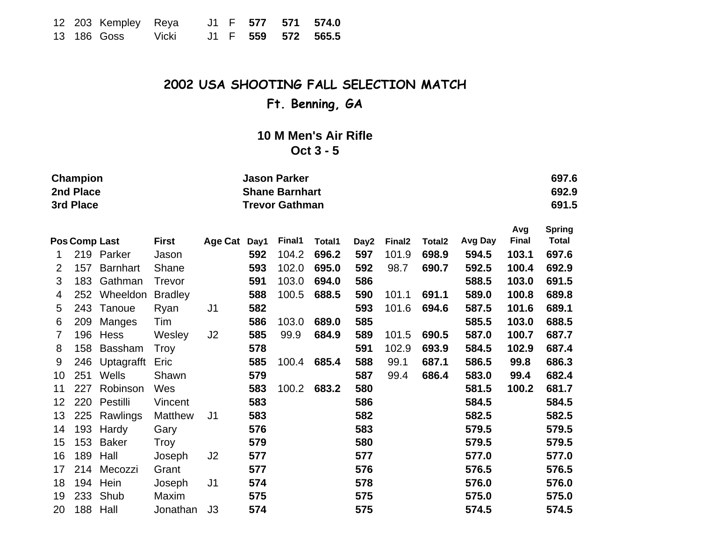|  | 12 203 Kempley Reya |       |  |  | J1 F 577 571 574.0 |
|--|---------------------|-------|--|--|--------------------|
|  | 13 186 Goss         | Vicki |  |  | J1 F 559 572 565.5 |

**Ft. Benning, GA**

## **10 M Men's Air Rifle Oct 3 - 5**

|    | Champion<br>2nd Place<br>3rd Place |                      |                |                | <b>Jason Parker</b><br><b>Shane Barnhart</b><br><b>Trevor Gathman</b> |        |               |      |                    |                    |         |                     |                               |
|----|------------------------------------|----------------------|----------------|----------------|-----------------------------------------------------------------------|--------|---------------|------|--------------------|--------------------|---------|---------------------|-------------------------------|
|    |                                    | <b>Pos Comp Last</b> | <b>First</b>   | Age Cat Day1   |                                                                       | Final1 | <b>Total1</b> | Day2 | Final <sub>2</sub> | Total <sub>2</sub> | Avg Day | Avg<br><b>Final</b> | <b>Spring</b><br><b>Total</b> |
| 1. |                                    | 219 Parker           | Jason          |                | 592                                                                   | 104.2  | 696.2         | 597  | 101.9              | 698.9              | 594.5   | 103.1               | 697.6                         |
| 2  | 157                                | <b>Barnhart</b>      | Shane          |                | 593                                                                   | 102.0  | 695.0         | 592  | 98.7               | 690.7              | 592.5   | 100.4               | 692.9                         |
| 3  | 183                                | Gathman              | <b>Trevor</b>  |                | 591                                                                   | 103.0  | 694.0         | 586  |                    |                    | 588.5   | 103.0               | 691.5                         |
| 4  | 252                                | Wheeldon             | <b>Bradley</b> |                | 588                                                                   | 100.5  | 688.5         | 590  | 101.1              | 691.1              | 589.0   | 100.8               | 689.8                         |
| 5  | 243                                | Tanoue               | Ryan           | J <sub>1</sub> | 582                                                                   |        |               | 593  | 101.6              | 694.6              | 587.5   | 101.6               | 689.1                         |
| 6  | 209                                | Manges               | Tim            |                | 586                                                                   | 103.0  | 689.0         | 585  |                    |                    | 585.5   | 103.0               | 688.5                         |
| 7  | 196                                | Hess                 | Wesley         | J2             | 585                                                                   | 99.9   | 684.9         | 589  | 101.5              | 690.5              | 587.0   | 100.7               | 687.7                         |
| 8  | 158                                | <b>Bassham</b>       | Troy           |                | 578                                                                   |        |               | 591  | 102.9              | 693.9              | 584.5   | 102.9               | 687.4                         |
| 9  | 246                                | Uptagrafft           | Eric           |                | 585                                                                   | 100.4  | 685.4         | 588  | 99.1               | 687.1              | 586.5   | 99.8                | 686.3                         |
| 10 | 251                                | Wells                | Shawn          |                | 579                                                                   |        |               | 587  | 99.4               | 686.4              | 583.0   | 99.4                | 682.4                         |
| 11 | 227                                | Robinson             | Wes            |                | 583                                                                   | 100.2  | 683.2         | 580  |                    |                    | 581.5   | 100.2               | 681.7                         |
| 12 | 220                                | Pestilli             | Vincent        |                | 583                                                                   |        |               | 586  |                    |                    | 584.5   |                     | 584.5                         |
| 13 | 225                                | Rawlings             | Matthew        | J <sub>1</sub> | 583                                                                   |        |               | 582  |                    |                    | 582.5   |                     | 582.5                         |
| 14 | 193                                | Hardy                | Gary           |                | 576                                                                   |        |               | 583  |                    |                    | 579.5   |                     | 579.5                         |
| 15 | 153                                | <b>Baker</b>         | Troy           |                | 579                                                                   |        |               | 580  |                    |                    | 579.5   |                     | 579.5                         |
| 16 | 189                                | Hall                 | Joseph         | J2             | 577                                                                   |        |               | 577  |                    |                    | 577.0   |                     | 577.0                         |
| 17 | 214                                | Mecozzi              | Grant          |                | 577                                                                   |        |               | 576  |                    |                    | 576.5   |                     | 576.5                         |
| 18 |                                    | 194 Hein             | Joseph         | J <sub>1</sub> | 574                                                                   |        |               | 578  |                    |                    | 576.0   |                     | 576.0                         |
| 19 |                                    | 233 Shub             | Maxim          |                | 575                                                                   |        |               | 575  |                    |                    | 575.0   |                     | 575.0                         |
| 20 | 188                                | Hall                 | Jonathan       | J3             | 574                                                                   |        |               | 575  |                    |                    | 574.5   |                     | 574.5                         |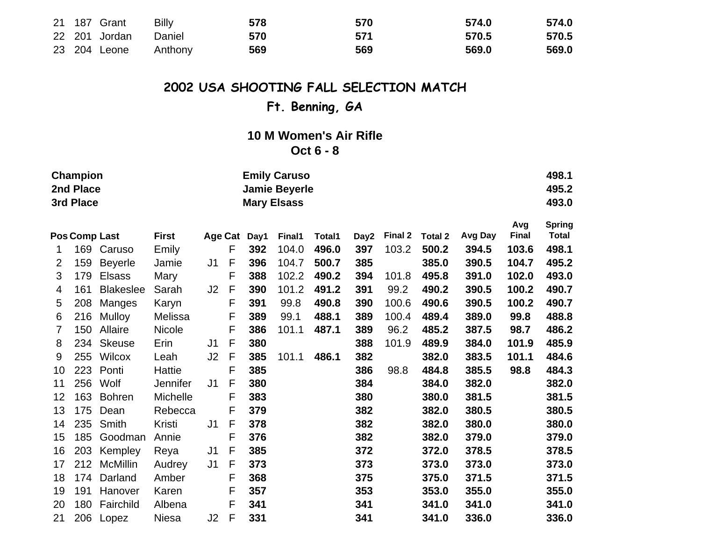|  | 21 187 Grant         | Billy | 578 | 570 | 574.0 | 574.0 |
|--|----------------------|-------|-----|-----|-------|-------|
|  | 22 201 Jordan Daniel |       | 570 | 571 | 570.5 | 570.5 |
|  | 23 204 Leone Anthony |       | 569 | 569 | 569.0 | 569.0 |

# **Ft. Benning, GA**

## **10 M Women's Air Rifle Oct 6 - 8**

|    | <b>Champion</b>      |                  |                 |                |             | <b>Emily Caruso</b> |                      |        |                  |         |                |         |              |              |  |  |
|----|----------------------|------------------|-----------------|----------------|-------------|---------------------|----------------------|--------|------------------|---------|----------------|---------|--------------|--------------|--|--|
|    | 2nd Place            |                  |                 |                |             |                     | <b>Jamie Beyerle</b> |        |                  |         |                |         |              | 495.2        |  |  |
|    | 3rd Place            |                  |                 |                |             |                     | <b>Mary Elsass</b>   |        |                  |         |                |         |              | 493.0        |  |  |
|    |                      |                  |                 |                |             | Avg                 | <b>Spring</b>        |        |                  |         |                |         |              |              |  |  |
|    | <b>Pos Comp Last</b> |                  | <b>First</b>    |                |             | Age Cat Day1        | Final1               | Total1 | Day <sub>2</sub> | Final 2 | <b>Total 2</b> | Avg Day | <b>Final</b> | <b>Total</b> |  |  |
| 1  | 169                  | Caruso           | Emily           |                | F           | 392                 | 104.0                | 496.0  | 397              | 103.2   | 500.2          | 394.5   | 103.6        | 498.1        |  |  |
| 2  | 159                  | <b>Beyerle</b>   | Jamie           | J <sub>1</sub> | F           | 396                 | 104.7                | 500.7  | 385              |         | 385.0          | 390.5   | 104.7        | 495.2        |  |  |
| 3  | 179                  | <b>Elsass</b>    | Mary            |                | F           | 388                 | 102.2                | 490.2  | 394              | 101.8   | 495.8          | 391.0   | 102.0        | 493.0        |  |  |
| 4  | 161                  | <b>Blakeslee</b> | Sarah           | J2             | F           | 390                 | 101.2                | 491.2  | 391              | 99.2    | 490.2          | 390.5   | 100.2        | 490.7        |  |  |
| 5  | 208                  | Manges           | Karyn           |                | F           | 391                 | 99.8                 | 490.8  | 390              | 100.6   | 490.6          | 390.5   | 100.2        | 490.7        |  |  |
| 6  | 216                  | Mulloy           | Melissa         |                | F           | 389                 | 99.1                 | 488.1  | 389              | 100.4   | 489.4          | 389.0   | 99.8         | 488.8        |  |  |
| 7  | 150                  | Allaire          | Nicole          |                | F           | 386                 | 101.1                | 487.1  | 389              | 96.2    | 485.2          | 387.5   | 98.7         | 486.2        |  |  |
| 8  | 234                  | <b>Skeuse</b>    | Erin            | J1             | F           | 380                 |                      |        | 388              | 101.9   | 489.9          | 384.0   | 101.9        | 485.9        |  |  |
| 9  | 255                  | Wilcox           | Leah            | J2             | $\mathsf F$ | 385                 | 101.1                | 486.1  | 382              |         | 382.0          | 383.5   | 101.1        | 484.6        |  |  |
| 10 | 223                  | Ponti            | Hattie          |                | F           | 385                 |                      |        | 386              | 98.8    | 484.8          | 385.5   | 98.8         | 484.3        |  |  |
| 11 | 256                  | Wolf             | <b>Jennifer</b> | J1             | F           | 380                 |                      |        | 384              |         | 384.0          | 382.0   |              | 382.0        |  |  |
| 12 | 163                  | <b>Bohren</b>    | Michelle        |                | F           | 383                 |                      |        | 380              |         | 380.0          | 381.5   |              | 381.5        |  |  |
| 13 | 175                  | Dean             | Rebecca         |                | F           | 379                 |                      |        | 382              |         | 382.0          | 380.5   |              | 380.5        |  |  |
| 14 | 235                  | Smith            | Kristi          | J <sub>1</sub> | F           | 378                 |                      |        | 382              |         | 382.0          | 380.0   |              | 380.0        |  |  |
| 15 | 185                  | Goodman          | Annie           |                | F           | 376                 |                      |        | 382              |         | 382.0          | 379.0   |              | 379.0        |  |  |
| 16 | 203                  | Kempley          | Reya            | J1             | F           | 385                 |                      |        | 372              |         | 372.0          | 378.5   |              | 378.5        |  |  |
| 17 | 212                  | <b>McMillin</b>  | Audrey          | J <sub>1</sub> | F           | 373                 |                      |        | 373              |         | 373.0          | 373.0   |              | 373.0        |  |  |
| 18 | 174                  | Darland          | Amber           |                | F           | 368                 |                      |        | 375              |         | 375.0          | 371.5   |              | 371.5        |  |  |
| 19 | 191                  | Hanover          | Karen           |                | F           | 357                 |                      |        | 353              |         | 353.0          | 355.0   |              | 355.0        |  |  |
| 20 | 180                  | Fairchild        | Albena          |                | F           | 341                 |                      |        | 341              |         | 341.0          | 341.0   |              | 341.0        |  |  |
| 21 | 206                  | Lopez            | Niesa           | J2             | F           | 331                 |                      |        | 341              |         | 341.0          | 336.0   |              | 336.0        |  |  |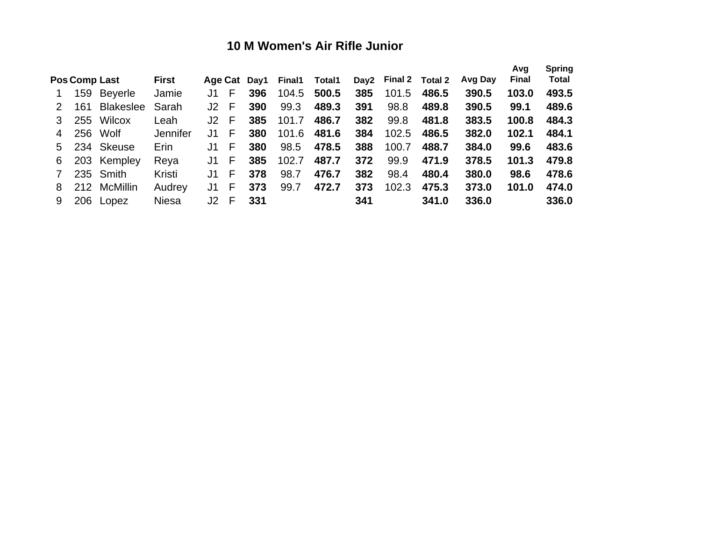## **10 M Women's Air Rifle Junior**

|               | Pos Comp Last | <b>First</b> |        |    |     | Age Cat Day1 Final1 | Total1 |     | Day2 Final 2 Total 2 |       | Avg Day | Avg<br><b>Final</b> | <b>Spring</b><br><b>Total</b> |
|---------------|---------------|--------------|--------|----|-----|---------------------|--------|-----|----------------------|-------|---------|---------------------|-------------------------------|
| 1             | 159 Beyerle   | Jamie        | J1     | F. | 396 | 104.5               | 500.5  | 385 | 101.5                | 486.5 | 390.5   | 103.0               | 493.5                         |
| 2             | 161 Blakeslee | Sarah        | J2     | E  | 390 | 99.3                | 489.3  | 391 | 98.8                 | 489.8 | 390.5   | 99.1                | 489.6                         |
| 3             | 255 Wilcox    | Leah         | $J2$ F |    | 385 | 101.7               | 486.7  | 382 | 99.8                 | 481.8 | 383.5   | 100.8               | 484.3                         |
| 4             | 256 Wolf      | Jennifer     | J1.    | F. | 380 | 101.6               | 481.6  | 384 | 102.5                | 486.5 | 382.0   | 102.1               | 484.1                         |
| 5             | 234 Skeuse    | Erin         | J1.    | F. | 380 | 98.5                | 478.5  | 388 | 100.7                | 488.7 | 384.0   | 99.6                | 483.6                         |
| 6             | 203 Kempley   | Reya         | J1.    | F. | 385 | 102.7               | 487.7  | 372 | 99.9                 | 471.9 | 378.5   | 101.3               | 479.8                         |
| $\mathcal{I}$ | 235 Smith     | Kristi       | J1.    | F. | 378 | 98.7                | 476.7  | 382 | 98.4                 | 480.4 | 380.0   | 98.6                | 478.6                         |
| 8             | 212 McMillin  | Audrey       | J1.    | F. | 373 | 99.7                | 472.7  | 373 | 102.3                | 475.3 | 373.0   | 101.0               | 474.0                         |
| 9             | 206 Lopez     | <b>Niesa</b> | $J2$ F |    | 331 |                     |        | 341 |                      | 341.0 | 336.0   |                     | 336.0                         |
|               |               |              |        |    |     |                     |        |     |                      |       |         |                     |                               |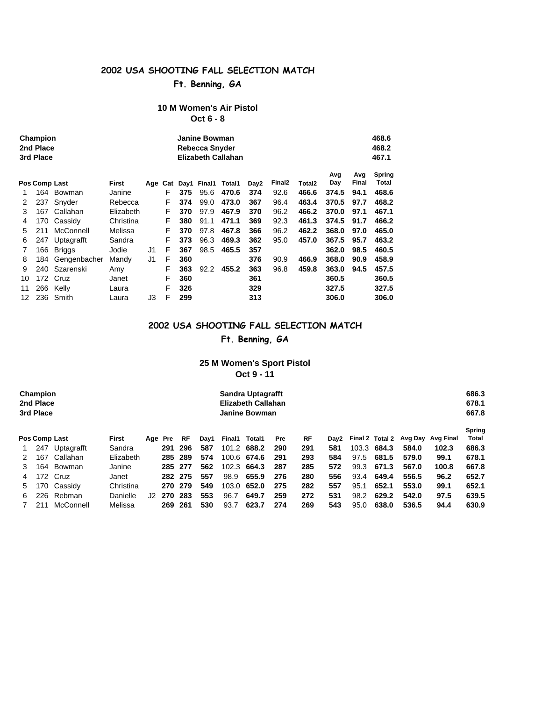## **Ft. Benning, GA**

#### **10 M Women's Air Pistol Oct 6 - 8**

|    | Champion<br>2nd Place<br>3rd Place |              |              |     | Janine Bowman<br>Rebecca Snyder<br>Elizabeth Callahan |      |        |        |      |                    |        |            |              |                        |  |
|----|------------------------------------|--------------|--------------|-----|-------------------------------------------------------|------|--------|--------|------|--------------------|--------|------------|--------------|------------------------|--|
|    | Pos Comp Last                      |              | <b>First</b> | Age | Cat                                                   | Day1 | Final1 | Total1 | Day2 | Final <sub>2</sub> | Total2 | Avg<br>Day | Avg<br>Final | <b>Spring</b><br>Total |  |
| 1. | 164                                | Bowman       | Janine       |     | F                                                     | 375  | 95.6   | 470.6  | 374  | 92.6               | 466.6  | 374.5      | 94.1         | 468.6                  |  |
| 2  | 237                                | Snyder       | Rebecca      |     | F                                                     | 374  | 99.0   | 473.0  | 367  | 96.4               | 463.4  | 370.5      | 97.7         | 468.2                  |  |
| 3  | 167                                | Callahan     | Elizabeth    |     | F                                                     | 370  | 97.9   | 467.9  | 370  | 96.2               | 466.2  | 370.0      | 97.1         | 467.1                  |  |
| 4  | 170                                | Cassidy      | Christina    |     | F                                                     | 380  | 91.1   | 471.1  | 369  | 92.3               | 461.3  | 374.5      | 91.7         | 466.2                  |  |
| 5  | 211                                | McConnell    | Melissa      |     | F                                                     | 370  | 97.8   | 467.8  | 366  | 96.2               | 462.2  | 368.0      | 97.0         | 465.0                  |  |
| 6  | 247                                | Uptagrafft   | Sandra       |     | F                                                     | 373  | 96.3   | 469.3  | 362  | 95.0               | 457.0  | 367.5      | 95.7         | 463.2                  |  |
| 7  | 166                                | Briggs       | Jodie        | J1  | F                                                     | 367  | 98.5   | 465.5  | 357  |                    |        | 362.0      | 98.5         | 460.5                  |  |
| 8  | 184                                | Gengenbacher | Mandy        | J1  | F                                                     | 360  |        |        | 376  | 90.9               | 466.9  | 368.0      | 90.9         | 458.9                  |  |
| 9  | 240                                | Szarenski    | Amy          |     | F                                                     | 363  | 92.2   | 455.2  | 363  | 96.8               | 459.8  | 363.0      | 94.5         | 457.5                  |  |
| 10 |                                    | 172 Cruz     | Janet        |     | F                                                     | 360  |        |        | 361  |                    |        | 360.5      |              | 360.5                  |  |
| 11 |                                    | 266 Kelly    | Laura        |     | F                                                     | 326  |        |        | 329  |                    |        | 327.5      |              | 327.5                  |  |
| 12 |                                    | 236 Smith    | Laura        | J3  | F                                                     | 299  |        |        | 313  |                    |        | 306.0      |              | 306.0                  |  |

#### **2002 USA SHOOTING FALL SELECTION MATCH**

#### **Ft. Benning, GA**

#### **25 M Women's Sport Pistol Oct 9 - 11**

| Champion<br>2nd Place<br>3rd Place |                      |                |           |         |     |         |      |        | <b>Sandra Uptagrafft</b><br>Elizabeth Callahan<br>Janine Bowman |            |     |                  |       |       |       |                                   |                        |  |
|------------------------------------|----------------------|----------------|-----------|---------|-----|---------|------|--------|-----------------------------------------------------------------|------------|-----|------------------|-------|-------|-------|-----------------------------------|------------------------|--|
|                                    | <b>Pos Comp Last</b> |                | First     | Age Pre |     | RF      | Dav1 | Final1 | Total1                                                          | <b>Pre</b> | RF  | Dav <sub>2</sub> |       |       |       | Final 2 Total 2 Avg Day Avg Final | <b>Spring</b><br>Total |  |
|                                    |                      | 247 Uptagrafft | Sandra    |         | 291 | 296     | 587  |        | 101.2 688.2                                                     | 290        | 291 | 581              | 103.3 | 684.3 | 584.0 | 102.3                             | 686.3                  |  |
| 2                                  | 167                  | Callahan       | Elizabeth |         | 285 | 289     | 574  |        | 100.6 674.6                                                     | 291        | 293 | 584              | 97.5  | 681.5 | 579.0 | 99.1                              | 678.1                  |  |
| 3                                  | 164                  | Bowman         | Janine    |         |     | 285 277 | 562  |        | 102.3 664.3                                                     | 287        | 285 | 572              | 99.3  | 671.3 | 567.0 | 100.8                             | 667.8                  |  |
| 4                                  |                      | 172 Cruz       | Janet     |         |     | 282 275 | 557  | 98.9   | 655.9                                                           | 276        | 280 | 556              | 93.4  | 649.4 | 556.5 | 96.2                              | 652.7                  |  |
| 5                                  |                      | 170 Cassidy    | Christina |         |     | 270 279 | 549  | 103.0  | 652.0                                                           | 275        | 282 | 557              | 95.1  | 652.1 | 553.0 | 99.1                              | 652.1                  |  |
| 6.                                 | 226                  | Rebman         | Danielle  | J2.     | 270 | 283     | 553  | 96.7   | 649.7                                                           | 259        | 272 | 531              | 98.2  | 629.2 | 542.0 | 97.5                              | 639.5                  |  |
|                                    | 211                  | McConnell      | Melissa   |         | 269 | 261     | 530  | 93.7   | 623.7                                                           | 274        | 269 | 543              | 95.0  | 638.0 | 536.5 | 94.4                              | 630.9                  |  |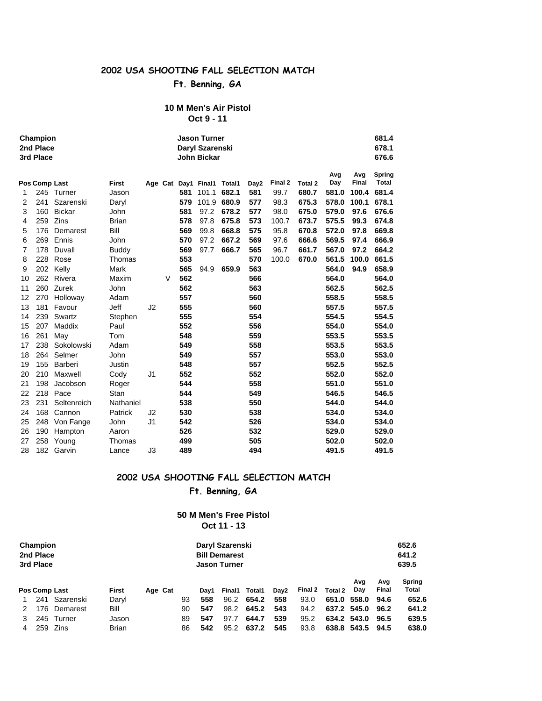## **Ft. Benning, GA**

#### **10 M Men's Air Pistol Oct 9 - 11**

| Champion<br>2nd Place<br>3rd Place |               |               |              |    |   | 681.4<br><b>Jason Turner</b><br>Daryl Szarenski<br>678.1<br>676.6<br><b>John Bickar</b> |                            |       |      |         |         |            |                     |                 |  |  |
|------------------------------------|---------------|---------------|--------------|----|---|-----------------------------------------------------------------------------------------|----------------------------|-------|------|---------|---------|------------|---------------------|-----------------|--|--|
|                                    | Pos Comp Last |               | <b>First</b> |    |   |                                                                                         | Age Cat Day1 Final1 Total1 |       | Day2 | Final 2 | Total 2 | Avg<br>Day | Avg<br><b>Final</b> | Spring<br>Total |  |  |
| 1                                  | 245           | Turner        | Jason        |    |   | 581                                                                                     | 101.1                      | 682.1 | 581  | 99.7    | 680.7   | 581.0      | 100.4               | 681.4           |  |  |
| 2                                  | 241           | Szarenski     | Daryl        |    |   | 579                                                                                     | 101.9                      | 680.9 | 577  | 98.3    | 675.3   | 578.0      | 100.1               | 678.1           |  |  |
| 3                                  | 160           | <b>Bickar</b> | John         |    |   | 581                                                                                     | 97.2                       | 678.2 | 577  | 98.0    | 675.0   | 579.0      | 97.6                | 676.6           |  |  |
| 4                                  | 259           | Zins          | <b>Brian</b> |    |   | 578                                                                                     | 97.8                       | 675.8 | 573  | 100.7   | 673.7   | 575.5      | 99.3                | 674.8           |  |  |
| 5                                  | 176           | Demarest      | Bill         |    |   | 569                                                                                     | 99.8                       | 668.8 | 575  | 95.8    | 670.8   | 572.0      | 97.8                | 669.8           |  |  |
| 6                                  | 269           | Ennis         | John         |    |   | 570                                                                                     | 97.2                       | 667.2 | 569  | 97.6    | 666.6   | 569.5      | 97.4                | 666.9           |  |  |
| $\overline{7}$                     | 178           | Duvall        | <b>Buddy</b> |    |   | 569                                                                                     | 97.7                       | 666.7 | 565  | 96.7    | 661.7   | 567.0      | 97.2                | 664.2           |  |  |
| 8                                  | 228           | Rose          | Thomas       |    |   | 553                                                                                     |                            |       | 570  | 100.0   | 670.0   | 561.5      | 100.0               | 661.5           |  |  |
| 9                                  |               | 202 Kelly     | Mark         |    |   | 565                                                                                     | 94.9                       | 659.9 | 563  |         |         | 564.0      | 94.9                | 658.9           |  |  |
| 10                                 | 262           | Rivera        | Maxim        |    | V | 562                                                                                     |                            |       | 566  |         |         | 564.0      |                     | 564.0           |  |  |
| 11                                 | 260           | Zurek         | John         |    |   | 562                                                                                     |                            |       | 563  |         |         | 562.5      |                     | 562.5           |  |  |
| 12                                 | 270           | Holloway      | Adam         |    |   | 557                                                                                     |                            |       | 560  |         |         | 558.5      |                     | 558.5           |  |  |
| 13                                 | 181           | Favour        | Jeff         | J2 |   | 555                                                                                     |                            |       | 560  |         |         | 557.5      |                     | 557.5           |  |  |
| 14                                 | 239           | Swartz        | Stephen      |    |   | 555                                                                                     |                            |       | 554  |         |         | 554.5      |                     | 554.5           |  |  |
| 15                                 | 207           | Maddix        | Paul         |    |   | 552                                                                                     |                            |       | 556  |         |         | 554.0      |                     | 554.0           |  |  |
| 16                                 | 261           | May           | Tom          |    |   | 548                                                                                     |                            |       | 559  |         |         | 553.5      |                     | 553.5           |  |  |
| 17                                 | 238           | Sokolowski    | Adam         |    |   | 549                                                                                     |                            |       | 558  |         |         | 553.5      |                     | 553.5           |  |  |
| 18                                 | 264           | Selmer        | John         |    |   | 549                                                                                     |                            |       | 557  |         |         | 553.0      |                     | 553.0           |  |  |
| 19                                 | 155           | Barberi       | Justin       |    |   | 548                                                                                     |                            |       | 557  |         |         | 552.5      |                     | 552.5           |  |  |
| 20                                 | 210           | Maxwell       | Cody         | J1 |   | 552                                                                                     |                            |       | 552  |         |         | 552.0      |                     | 552.0           |  |  |
| 21                                 | 198           | Jacobson      | Roger        |    |   | 544                                                                                     |                            |       | 558  |         |         | 551.0      |                     | 551.0           |  |  |
| 22                                 | 218           | Pace          | Stan         |    |   | 544                                                                                     |                            |       | 549  |         |         | 546.5      |                     | 546.5           |  |  |
| 23                                 | 231           | Seltenreich   | Nathaniel    |    |   | 538                                                                                     |                            |       | 550  |         |         | 544.0      |                     | 544.0           |  |  |
| 24                                 | 168           | Cannon        | Patrick      | J2 |   | 530                                                                                     |                            |       | 538  |         |         | 534.0      |                     | 534.0           |  |  |
| 25                                 | 248           | Von Fange     | John         | J1 |   | 542                                                                                     |                            |       | 526  |         |         | 534.0      |                     | 534.0           |  |  |
| 26                                 | 190           | Hampton       | Aaron        |    |   | 526                                                                                     |                            |       | 532  |         |         | 529.0      |                     | 529.0           |  |  |
| 27                                 | 258           | Young         | Thomas       |    |   | 499                                                                                     |                            |       | 505  |         |         | 502.0      |                     | 502.0           |  |  |
| 28                                 | 182           | Garvin        | Lance        | J3 |   | 489                                                                                     |                            |       | 494  |         |         | 491.5      |                     | 491.5           |  |  |

## **2002 USA SHOOTING FALL SELECTION MATCH**

**Ft. Benning, GA**

#### **50 M Men's Free Pistol Oct 11 - 13**

| Champion<br>2nd Place<br>3rd Place |               |             |              |         |    | Daryl Szarenski<br><b>Bill Demarest</b><br><b>Jason Turner</b> |        |        |                  |         |         |             |       | 652.6<br>641.2<br>639.5 |  |  |
|------------------------------------|---------------|-------------|--------------|---------|----|----------------------------------------------------------------|--------|--------|------------------|---------|---------|-------------|-------|-------------------------|--|--|
|                                    |               |             |              |         |    |                                                                |        |        |                  |         |         | Ava         | Avg   | <b>Spring</b>           |  |  |
|                                    | Pos Comp Last |             | <b>First</b> | Age Cat |    | Dav1                                                           | Final1 | Total1 | Dav <sub>2</sub> | Final 2 | Total 2 | Day         | Final | <b>Total</b>            |  |  |
|                                    | 241           | Szarenski   | Daryl        |         | 93 | 558                                                            | 96.2   | 654.2  | 558              | 93.0    | 651.0   | 558.0       | 94.6  | 652.6                   |  |  |
|                                    | 176           | Demarest    | Bill         |         | 90 | 547                                                            | 98.2   | 645.2  | 543              | 94.2    | 637.2   | 545.0       | 96.2  | 641.2                   |  |  |
|                                    |               | 245 Turner  | Jason        |         | 89 | 547                                                            | 97.7   | 644.7  | 539              | 95.2    |         | 634.2 543.0 | 96.5  | 639.5                   |  |  |
|                                    | 259           | <b>Zins</b> | <b>Brian</b> |         | 86 | 542                                                            | 95.2   | 637.2  | 545              | 93.8    | 638.8   | 543.5       | 94.5  | 638.0                   |  |  |